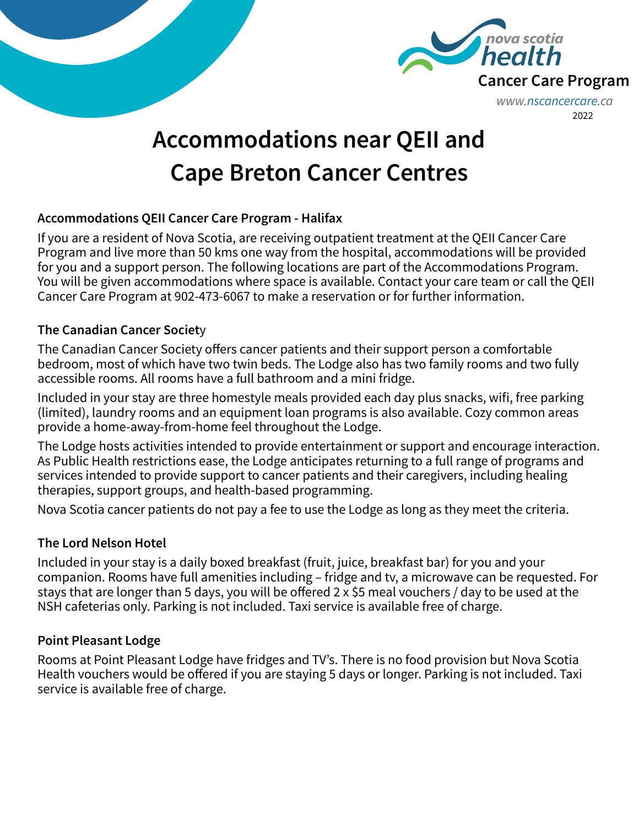



# **Accommodations near QEII and Cape Breton Cancer Centres**

### **Accommodations QEII Cancer Care Program - Halifax**

If you are a resident of Nova Scotia, are receiving outpatient treatment at the QEII Cancer Care Program and live more than 50 kms one way from the hospital, accommodations will be provided for you and a support person. The following locations are part of the Accommodations Program. You will be given accommodations where space is available. Contact your care team or call the QEII Cancer Care Program at 902-473-6067 to make a reservation or for further information.

### **The Canadian Cancer Societ**y

The Canadian Cancer Society offers cancer patients and their support person a comfortable bedroom, most of which have two twin beds. The Lodge also has two family rooms and two fully accessible rooms. All rooms have a full bathroom and a mini fridge.

Included in your stay are three homestyle meals provided each day plus snacks, wifi, free parking (limited), laundry rooms and an equipment loan programs is also available. Cozy common areas provide a home-away-from-home feel throughout the Lodge.

The Lodge hosts activities intended to provide entertainment or support and encourage interaction. As Public Health restrictions ease, the Lodge anticipates returning to a full range of programs and services intended to provide support to cancer patients and their caregivers, including healing therapies, support groups, and health-based programming.

Nova Scotia cancer patients do not pay a fee to use the Lodge as long as they meet the criteria.

# **The Lord Nelson Hotel**

Included in your stay is a daily boxed breakfast (fruit, juice, breakfast bar) for you and your companion. Rooms have full amenities including – fridge and tv, a microwave can be requested. For stays that are longer than 5 days, you will be offered 2 x \$5 meal vouchers / day to be used at the NSH cafeterias only. Parking is not included. Taxi service is available free of charge.

# **Point Pleasant Lodge**

Rooms at Point Pleasant Lodge have fridges and TV's. There is no food provision but Nova Scotia Health vouchers would be offered if you are staying 5 days or longer. Parking is not included. Taxi service is available free of charge.